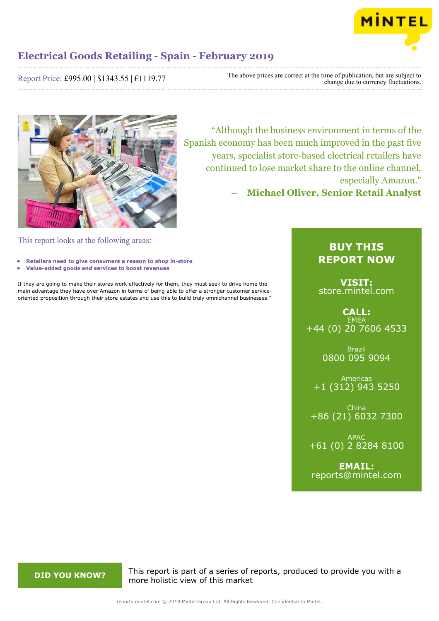

Report Price: £995.00 | \$1343.55 | €1119.77

The above prices are correct at the time of publication, but are subject to change due to currency fluctuations.



"Although the business environment in terms of the Spanish economy has been much improved in the past five years, specialist store-based electrical retailers have continued to lose market share to the online channel, especially Amazon."

**– Michael Oliver, Senior Retail Analyst**

This report looks at the following areas:

- **• Retailers need to give consumers a reason to shop in-store**
- **• Value-added goods and services to boost revenues**

If they are going to make their stores work effectively for them, they must seek to drive home the main advantage they have over Amazon in terms of being able to offer a stronger customer serviceoriented proposition through their store estates and use this to build truly omnichannel businesses."

# **BUY THIS REPORT NOW**

**VISIT:** [store.mintel.com](http://reports.mintel.com//display/store/920336/)

**CALL: EMEA** +44 (0) 20 7606 4533

> Brazil 0800 095 9094

Americas +1 (312) 943 5250

China +86 (21) 6032 7300

APAC +61 (0) 2 8284 8100

**EMAIL:** [reports@mintel.com](mailto:reports@mintel.com)

**DID YOU KNOW?** This report is part of a series of reports, produced to provide you with a more holistic view of this market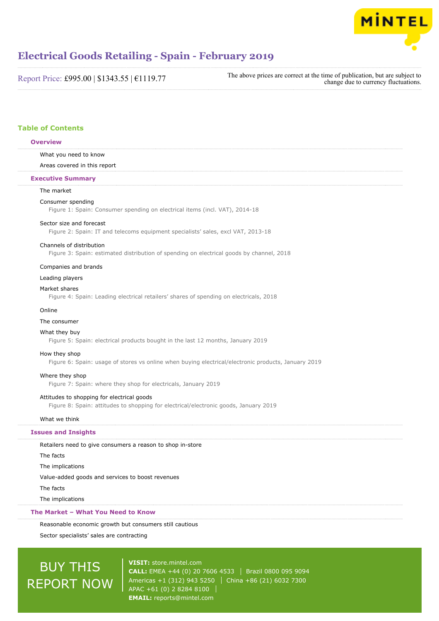

# **Electrical Goods Retailing - Spain - February 2019**

| Report Price: £995.00   \$1343.55   €1119.77 | The above prices are correct at the time of publication, but are subject to<br>change due to currency fluctuations. |
|----------------------------------------------|---------------------------------------------------------------------------------------------------------------------|
|----------------------------------------------|---------------------------------------------------------------------------------------------------------------------|

# **Table of Contents**

# **Overview**

#### What you need to know

Areas covered in this report

#### **Executive Summary**

# The market

#### Consumer spending

Figure 1: Spain: Consumer spending on electrical items (incl. VAT), 2014-18

#### Sector size and forecast

Figure 2: Spain: IT and telecoms equipment specialists' sales, excl VAT, 2013-18

#### Channels of distribution

Figure 3: Spain: estimated distribution of spending on electrical goods by channel, 2018

#### Companies and brands

Leading players

## Market shares

Figure 4: Spain: Leading electrical retailers' shares of spending on electricals, 2018

# Online

#### The consumer

## What they buy

Figure 5: Spain: electrical products bought in the last 12 months, January 2019

#### How they shop

Figure 6: Spain: usage of stores vs online when buying electrical/electronic products, January 2019

#### Where they shop

Figure 7: Spain: where they shop for electricals, January 2019

# Attitudes to shopping for electrical goods

Figure 8: Spain: attitudes to shopping for electrical/electronic goods, January 2019

# What we think

# **Issues and Insights**

Retailers need to give consumers a reason to shop in-store The facts The implications Value-added goods and services to boost revenues The facts The implications

# **The Market – What You Need to Know**

Reasonable economic growth but consumers still cautious

Sector specialists' sales are contracting

# BUY THIS REPORT NOW

**VISIT:** [store.mintel.com](http://reports.mintel.com//display/store/920336/) **CALL:** EMEA +44 (0) 20 7606 4533 | Brazil 0800 095 9094 Americas +1 (312) 943 5250 | China +86 (21) 6032 7300 APAC +61 (0) 2 8284 8100 **EMAIL:** [reports@mintel.com](mailto:reports@mintel.com)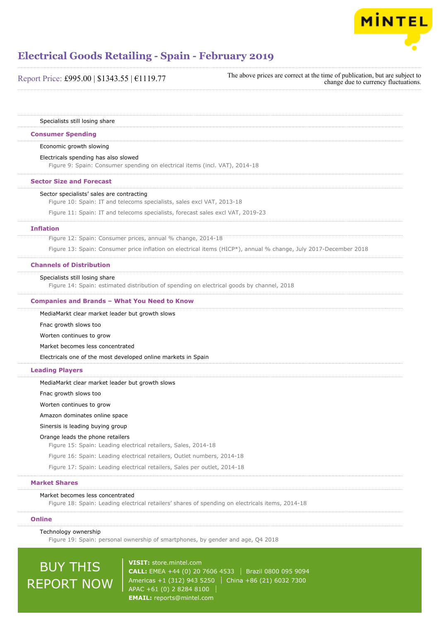

| Report Price: £995.00   \$1343.55   €1119.77 | The above prices are correct at the time of publication, but are subject to<br>change due to currency fluctuations. |
|----------------------------------------------|---------------------------------------------------------------------------------------------------------------------|
|                                              |                                                                                                                     |

Specialists still losing share

## **Consumer Spending**

#### Economic growth slowing

Electricals spending has also slowed

Figure 9: Spain: Consumer spending on electrical items (incl. VAT), 2014-18

#### **Sector Size and Forecast**

#### Sector specialists' sales are contracting

Figure 10: Spain: IT and telecoms specialists, sales excl VAT, 2013-18

Figure 11: Spain: IT and telecoms specialists, forecast sales excl VAT, 2019-23

#### **Inflation**

Figure 12: Spain: Consumer prices, annual % change, 2014-18 Figure 13: Spain: Consumer price inflation on electrical items (HICP\*), annual % change, July 2017-December 2018

### **Channels of Distribution**

# Specialists still losing share

Figure 14: Spain: estimated distribution of spending on electrical goods by channel, 2018

#### **Companies and Brands – What You Need to Know**

MediaMarkt clear market leader but growth slows

Fnac growth slows too

Worten continues to grow

Market becomes less concentrated

Electricals one of the most developed online markets in Spain

## **Leading Players**

MediaMarkt clear market leader but growth slows

Fnac growth slows too

Worten continues to grow

Amazon dominates online space

#### Sinersis is leading buying group

#### Orange leads the phone retailers

Figure 15: Spain: Leading electrical retailers, Sales, 2014-18

Figure 16: Spain: Leading electrical retailers, Outlet numbers, 2014-18

Figure 17: Spain: Leading electrical retailers, Sales per outlet, 2014-18

# **Market Shares**

#### Market becomes less concentrated

Figure 18: Spain: Leading electrical retailers' shares of spending on electricals items, 2014-18

# **Online**

Technology ownership

Figure 19: Spain: personal ownership of smartphones, by gender and age, Q4 2018

# BUY THIS REPORT NOW

**VISIT:** [store.mintel.com](http://reports.mintel.com//display/store/920336/) **CALL:** EMEA +44 (0) 20 7606 4533 Brazil 0800 095 9094 Americas +1 (312) 943 5250 | China +86 (21) 6032 7300 APAC +61 (0) 2 8284 8100 **EMAIL:** [reports@mintel.com](mailto:reports@mintel.com)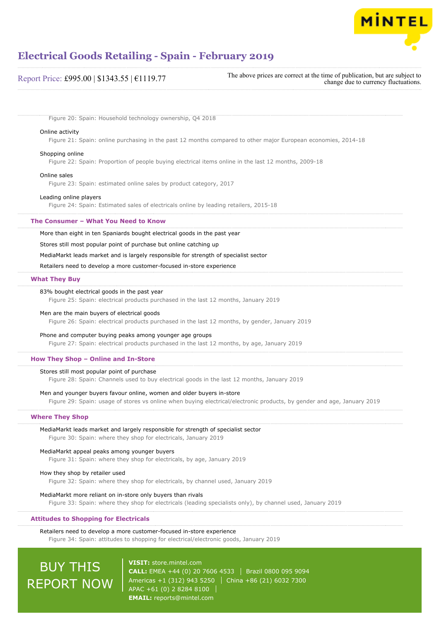

| Report Price: £995.00   \$1343.55   €1119.77 | The above prices are correct at the time of publication, but are subject to<br>change due to currency fluctuations. |
|----------------------------------------------|---------------------------------------------------------------------------------------------------------------------|
|----------------------------------------------|---------------------------------------------------------------------------------------------------------------------|

Figure 20: Spain: Household technology ownership, Q4 2018

# Online activity

Figure 21: Spain: online purchasing in the past 12 months compared to other major European economies, 2014-18

#### Shopping online

Figure 22: Spain: Proportion of people buying electrical items online in the last 12 months, 2009-18

#### Online sales

Figure 23: Spain: estimated online sales by product category, 2017

#### Leading online players

Figure 24: Spain: Estimated sales of electricals online by leading retailers, 2015-18

### **The Consumer – What You Need to Know**

More than eight in ten Spaniards bought electrical goods in the past year

Stores still most popular point of purchase but online catching up

MediaMarkt leads market and is largely responsible for strength of specialist sector

Retailers need to develop a more customer-focused in-store experience

#### **What They Buy**

#### 83% bought electrical goods in the past year

Figure 25: Spain: electrical products purchased in the last 12 months, January 2019

### Men are the main buyers of electrical goods

Figure 26: Spain: electrical products purchased in the last 12 months, by gender, January 2019

#### Phone and computer buying peaks among younger age groups

Figure 27: Spain: electrical products purchased in the last 12 months, by age, January 2019

# **How They Shop – Online and In-Store**

#### Stores still most popular point of purchase

Figure 28: Spain: Channels used to buy electrical goods in the last 12 months, January 2019

#### Men and younger buyers favour online, women and older buyers in-store

Figure 29: Spain: usage of stores vs online when buying electrical/electronic products, by gender and age, January 2019

# **Where They Shop**

MediaMarkt leads market and largely responsible for strength of specialist sector Figure 30: Spain: where they shop for electricals, January 2019

#### MediaMarkt appeal peaks among younger buyers

Figure 31: Spain: where they shop for electricals, by age, January 2019

#### How they shop by retailer used

Figure 32: Spain: where they shop for electricals, by channel used, January 2019

#### MediaMarkt more reliant on in-store only buyers than rivals

Figure 33: Spain: where they shop for electricals (leading specialists only), by channel used, January 2019

# **Attitudes to Shopping for Electricals**

# Retailers need to develop a more customer-focused in-store experience

Figure 34: Spain: attitudes to shopping for electrical/electronic goods, January 2019

# BUY THIS REPORT NOW

**VISIT:** [store.mintel.com](http://reports.mintel.com//display/store/920336/) **CALL:** EMEA +44 (0) 20 7606 4533 Brazil 0800 095 9094 Americas +1 (312) 943 5250 | China +86 (21) 6032 7300 APAC +61 (0) 2 8284 8100 **EMAIL:** [reports@mintel.com](mailto:reports@mintel.com)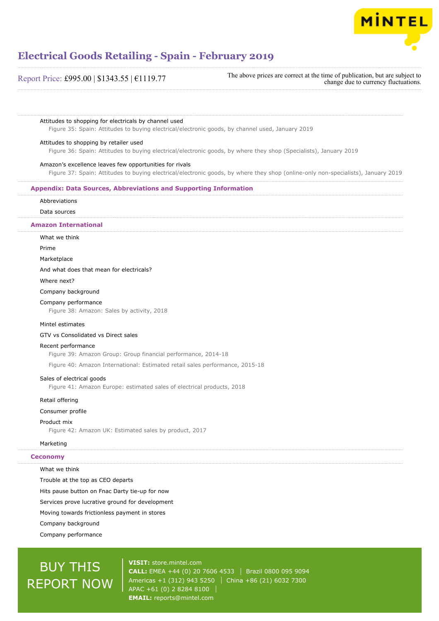

# Report Price: £995.00 | \$1343.55 | €1119.77

The above prices are correct at the time of publication, but are subject to change due to currency fluctuations.

## Attitudes to shopping for electricals by channel used

Figure 35: Spain: Attitudes to buying electrical/electronic goods, by channel used, January 2019

#### Attitudes to shopping by retailer used

Figure 36: Spain: Attitudes to buying electrical/electronic goods, by where they shop (Specialists), January 2019

# Amazon's excellence leaves few opportunities for rivals

Figure 37: Spain: Attitudes to buying electrical/electronic goods, by where they shop (online-only non-specialists), January 2019

# **Appendix: Data Sources, Abbreviations and Supporting Information**

# Abbreviations

Data sources

# **Amazon International**

What we think

#### Prime

Marketplace

#### And what does that mean for electricals?

Where next?

# Company background

# Company performance

Figure 38: Amazon: Sales by activity, 2018

#### Mintel estimates

# GTV vs Consolidated vs Direct sales

## Recent performance

Figure 39: Amazon Group: Group financial performance, 2014-18

Figure 40: Amazon International: Estimated retail sales performance, 2015-18

### Sales of electrical goods

Figure 41: Amazon Europe: estimated sales of electrical products, 2018

#### Retail offering

Consumer profile

#### Product mix

Figure 42: Amazon UK: Estimated sales by product, 2017

# Marketing

# **Ceconomy**

#### What we think

Trouble at the top as CEO departs

Hits pause button on Fnac Darty tie-up for now

Services prove lucrative ground for development

Moving towards frictionless payment in stores

Company background

Company performance

# BUY THIS REPORT NOW

**VISIT:** [store.mintel.com](http://reports.mintel.com//display/store/920336/) **CALL:** EMEA +44 (0) 20 7606 4533 | Brazil 0800 095 9094 Americas +1 (312) 943 5250 | China +86 (21) 6032 7300 APAC +61 (0) 2 8284 8100 **EMAIL:** [reports@mintel.com](mailto:reports@mintel.com)